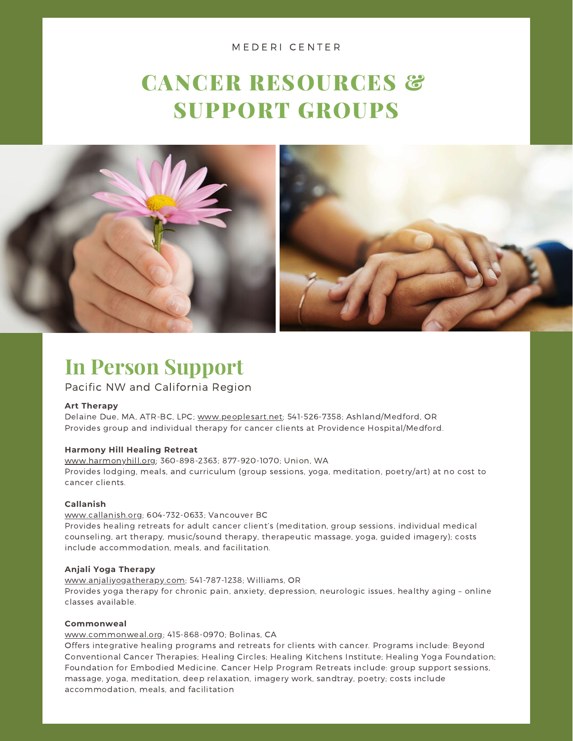#### M E D E R I C E N T E R

### CANCER RESOURCES & SUPPORT GROUPS



### **In Person Support**

#### Pacific NW and California Region

#### **Art Therapy**

Delaine Due, MA, ATR-BC, LPC; [www.peoplesart.net;](http://www.peoplesart.net/) 541-526-7358; Ashland/Medford, OR Provides group and individual therapy for cancer clients at Providence Hospital/Medford.

#### **Harmony Hill Healing Retreat**

[www.harmonyhill.org;](http://www.harmonyhill.org/) 360-898-2363; 877-920-1070; Union, WA Provides lodging, meals, and curriculum (group sessions, yoga, meditation, poetry/art) at no cost to cancer clients.

#### **Callanish**

[www.callanish.org](http://www.callanish.org/); 604-732-0633; Vancouver BC Provides healing retreats for adult cancer client's (meditation, group sessions, individual medical counseling, art therapy, music/sound therapy, therapeutic massage, yoga, guided imagery); costs include accommodation, meals, and facilitation.

#### **Anjali Yoga Therapy**

[www.anjaliyogatherapy.com](http://www.anjaliyogatherapy.com/); 541-787-1238; Williams, OR Provides yoga therapy for chronic pain, anxiety, depression, neurologic issues, healthy aging – online classes available.

#### **Commonweal**

[www.commonweal.org](http://www.commonweal.org/); 415-868-0970; Bolinas, CA

Offers integrative healing programs and retreats for clients with cancer. Programs include: Beyond Conventional Cancer Therapies; Healing Circles; Healing Kitchens Institute; Healing Yoga Foundation; Foundation for Embodied Medicine. Cancer Help Program Retreats include: group support sessions, massage, yoga, meditation, deep relaxation, imagery work, sandtray, poetry; costs include accommodation, meals, and facilitation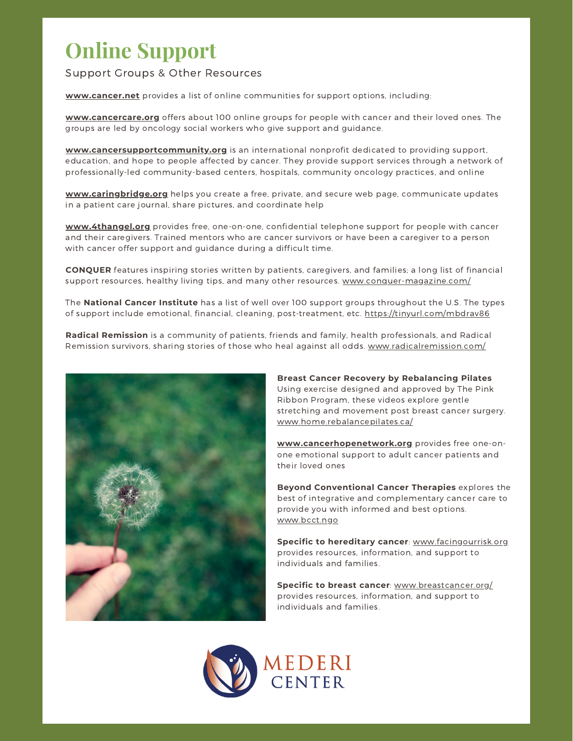### **Online Support**

#### Support Groups & Other Resources

**[www.cancer.net](http://www.cancer.net/)** provides a list of online communities for support options, including:

**[www.cancercare.org](http://www.cancercare.org/)** offers about 100 online groups for people with cancer and their loved ones. The groups are led by oncology social workers who give support and guidance.

**[www.cancersupportcommunity.org](http://www.cancersupportcommunity.org/)** is an international nonprofit dedicated to providing support, education, and hope to people affected by cancer. They provide support services through a network of professionally-led community-based centers, hospitals, community oncology practices, and online

**[www.caringbridge.org](http://www.caringbridge.org/)** helps you create a free, private, and secure web page, communicate updates in a patient care journal, share pictures, and coordinate help

**[www.4thangel.org](http://www.4thangel.org/)** provides free, one-on-one, confidential telephone support for people with cancer and their caregivers. Trained mentors who are cancer survivors or have been a caregiver to a person with cancer offer support and guidance during a difficult time.

**CONQUER** features inspiring stories written by patients, caregivers, and families; a long list of financial support resources, healthy living tips, and many other resources. [www.conquer-magazine.com/](https://conquer-magazine.com/)

The **National Cancer Institute** has a list of well over 100 support groups throughout the U.S. The types of support include emotional, financial, cleaning, post-treatment, etc. <https://tinyurl.com/mbdrav86>

**Radical Remission** is a community of patients, friends and family, health professionals, and Radical Remission survivors, sharing stories of those who heal against all odds. [www.radicalremission.com/](https://radicalremission.com/)



**Breast Cancer Recovery by Rebalancing Pilates** Using exercise designed and approved by The Pink Ribbon Program, these videos explore gentle stretching and movement post breast cancer surgery. [www.home.rebalancepilates.ca/](https://home.rebalancepilates.ca/)

**[www.cancerhopenetwork.org](http://www.cancerhopenetwork.org/)** provides free one-onone emotional support to adult cancer patients and their loved ones

**Beyond Conventional Cancer Therapies** explores the best of integrative and complementary cancer care to provide you with informed and best options. [www.bcct.ngo](http://www.bcct.ngo/)

**Specific to hereditary cancer**: [www.facingourrisk.org](http://www.facingourrisk.org/) provides resources, information, and support to individuals and families.

**Specific to breast cancer**: [www.breastcancer.org/](http://www.breastcancer.org/) provides resources, information, and support to individuals and families.